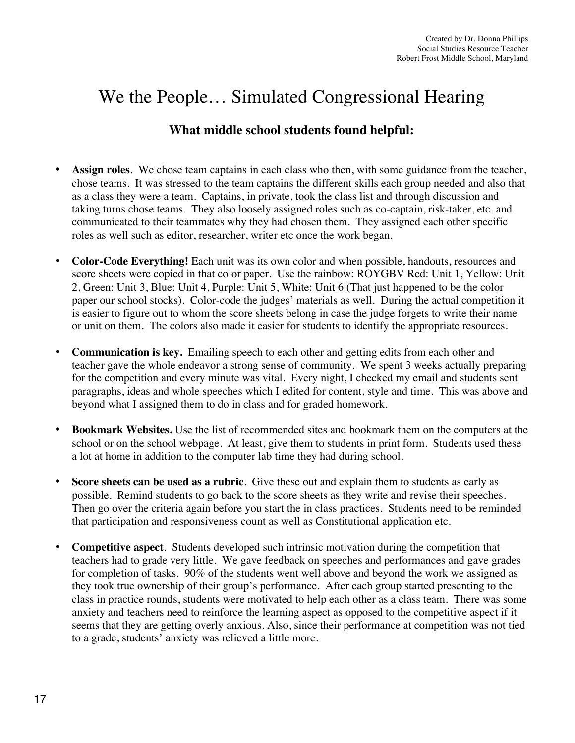## We the People… Simulated Congressional Hearing

## **What middle school students found helpful:**

- **Assign roles**. We chose team captains in each class who then, with some guidance from the teacher, chose teams. It was stressed to the team captains the different skills each group needed and also that as a class they were a team. Captains, in private, took the class list and through discussion and taking turns chose teams. They also loosely assigned roles such as co-captain, risk-taker, etc. and communicated to their teammates why they had chosen them. They assigned each other specific roles as well such as editor, researcher, writer etc once the work began.
- **Color-Code Everything!** Each unit was its own color and when possible, handouts, resources and score sheets were copied in that color paper. Use the rainbow: ROYGBV Red: Unit 1, Yellow: Unit 2, Green: Unit 3, Blue: Unit 4, Purple: Unit 5, White: Unit 6 (That just happened to be the color paper our school stocks). Color-code the judges' materials as well. During the actual competition it is easier to figure out to whom the score sheets belong in case the judge forgets to write their name or unit on them. The colors also made it easier for students to identify the appropriate resources.
- **Communication is key.** Emailing speech to each other and getting edits from each other and teacher gave the whole endeavor a strong sense of community. We spent 3 weeks actually preparing for the competition and every minute was vital. Every night, I checked my email and students sent paragraphs, ideas and whole speeches which I edited for content, style and time. This was above and beyond what I assigned them to do in class and for graded homework.
- **Bookmark Websites.** Use the list of recommended sites and bookmark them on the computers at the school or on the school webpage. At least, give them to students in print form. Students used these a lot at home in addition to the computer lab time they had during school.
- **Score sheets can be used as a rubric**. Give these out and explain them to students as early as possible. Remind students to go back to the score sheets as they write and revise their speeches. Then go over the criteria again before you start the in class practices. Students need to be reminded that participation and responsiveness count as well as Constitutional application etc.
- **Competitive aspect**. Students developed such intrinsic motivation during the competition that teachers had to grade very little. We gave feedback on speeches and performances and gave grades for completion of tasks. 90% of the students went well above and beyond the work we assigned as they took true ownership of their group's performance. After each group started presenting to the class in practice rounds, students were motivated to help each other as a class team. There was some anxiety and teachers need to reinforce the learning aspect as opposed to the competitive aspect if it seems that they are getting overly anxious. Also, since their performance at competition was not tied to a grade, students' anxiety was relieved a little more.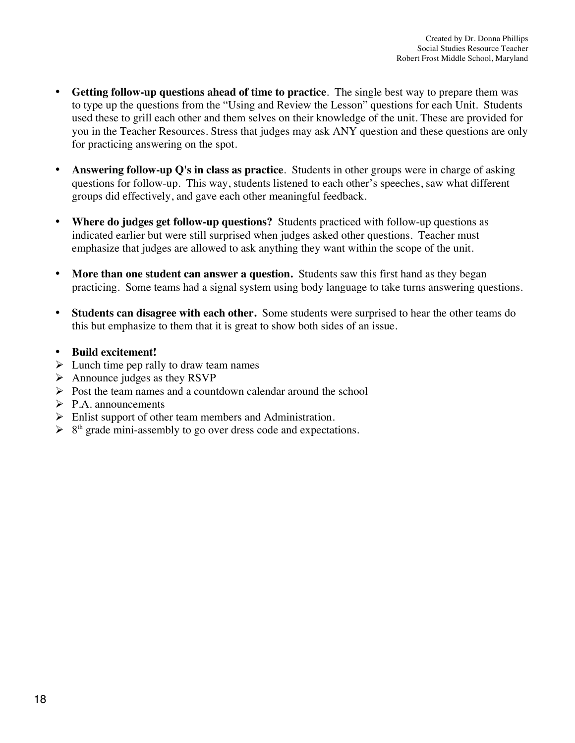- **Getting follow-up questions ahead of time to practice**. The single best way to prepare them was to type up the questions from the "Using and Review the Lesson" questions for each Unit. Students used these to grill each other and them selves on their knowledge of the unit. These are provided for you in the Teacher Resources. Stress that judges may ask ANY question and these questions are only for practicing answering on the spot.
- **Answering follow-up Q's in class as practice**. Students in other groups were in charge of asking questions for follow-up. This way, students listened to each other's speeches, saw what different groups did effectively, and gave each other meaningful feedback.
- **Where do judges get follow-up questions?** Students practiced with follow-up questions as indicated earlier but were still surprised when judges asked other questions. Teacher must emphasize that judges are allowed to ask anything they want within the scope of the unit.
- More than one student can answer a question. Students saw this first hand as they began practicing. Some teams had a signal system using body language to take turns answering questions.
- **Students can disagree with each other.** Some students were surprised to hear the other teams do this but emphasize to them that it is great to show both sides of an issue.
- **Build excitement!**
- $\triangleright$  Lunch time pep rally to draw team names
- $\triangleright$  Announce judges as they RSVP
- $\triangleright$  Post the team names and a countdown calendar around the school
- $\triangleright$  P.A. announcements
- $\triangleright$  Enlist support of other team members and Administration.
- $\triangleright$  8<sup>th</sup> grade mini-assembly to go over dress code and expectations.